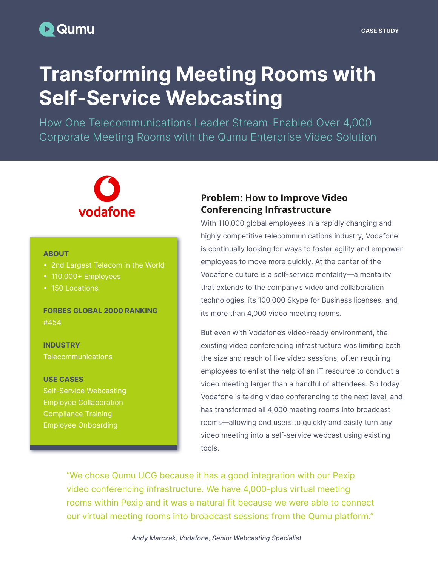# **D** Qumu

# Transforming Meeting Rooms with Self-Service Webcasting

How One Telecommunications Leader Stream-Enabled Over 4,000 Corporate Meeting Rooms with the Qumu Enterprise Video Solution



#### ABOUT

- 2nd Largest Telecom in the World
- 110,000+ Employees
- 150 Locations

FORBES GLOBAL 2000 RANKING #454

INDUSTRY **Telecommunications** 

#### USE CASES

Self-Service Webcasting Employee Collaboration Compliance Training Employee Onboarding

## **Problem: How to Improve Video Conferencing Infrastructure**

With 110,000 global employees in a rapidly changing and highly competitive telecommunications industry, Vodafone is continually looking for ways to foster agility and empower employees to move more quickly. At the center of the Vodafone culture is a self-service mentality—a mentality that extends to the company's video and collaboration technologies, its 100,000 Skype for Business licenses, and its more than 4,000 video meeting rooms.

But even with Vodafone's video-ready environment, the existing video conferencing infrastructure was limiting both the size and reach of live video sessions, often requiring employees to enlist the help of an IT resource to conduct a video meeting larger than a handful of attendees. So today Vodafone is taking video conferencing to the next level, and has transformed all 4,000 meeting rooms into broadcast rooms—allowing end users to quickly and easily turn any video meeting into a self-service webcast using existing tools.

"We chose Qumu UCG because it has a good integration with our Pexip video conferencing infrastructure. We have 4,000-plus virtual meeting rooms within Pexip and it was a natural fit because we were able to connect our virtual meeting rooms into broadcast sessions from the Qumu platform."